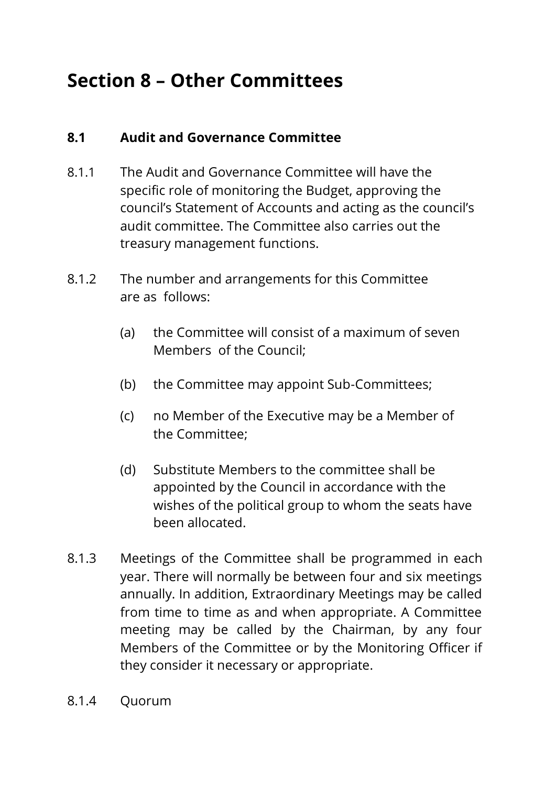## **Section 8 – Other Committees**

## **8.1 Audit and Governance Committee**

- 8.1.1 The Audit and Governance Committee will have the specific role of monitoring the Budget, approving the council's Statement of Accounts and acting as the council's audit committee. The Committee also carries out the treasury management functions.
- 8.1.2 The number and arrangements for this Committee are as follows:
	- (a) the Committee will consist of a maximum of seven Members of the Council;
	- (b) the Committee may appoint Sub-Committees;
	- (c) no Member of the Executive may be a Member of the Committee;
	- (d) Substitute Members to the committee shall be appointed by the Council in accordance with the wishes of the political group to whom the seats have been allocated.
- 8.1.3 Meetings of the Committee shall be programmed in each year. There will normally be between four and six meetings annually. In addition, Extraordinary Meetings may be called from time to time as and when appropriate. A Committee meeting may be called by the Chairman, by any four Members of the Committee or by the Monitoring Officer if they consider it necessary or appropriate.
- 8.1.4 Quorum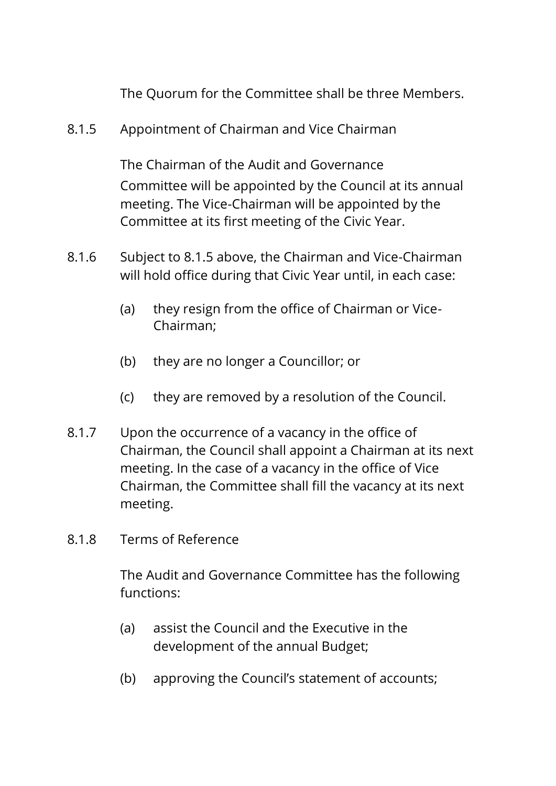The Quorum for the Committee shall be three Members.

8.1.5 Appointment of Chairman and Vice Chairman

The Chairman of the Audit and Governance Committee will be appointed by the Council at its annual meeting. The Vice-Chairman will be appointed by the Committee at its first meeting of the Civic Year.

- 8.1.6 Subject to 8.1.5 above, the Chairman and Vice-Chairman will hold office during that Civic Year until, in each case:
	- (a) they resign from the office of Chairman or Vice-Chairman;
	- (b) they are no longer a Councillor; or
	- (c) they are removed by a resolution of the Council.
- 8.1.7 Upon the occurrence of a vacancy in the office of Chairman, the Council shall appoint a Chairman at its next meeting. In the case of a vacancy in the office of Vice Chairman, the Committee shall fill the vacancy at its next meeting.
- 8.1.8 Terms of Reference

The Audit and Governance Committee has the following functions:

- (a) assist the Council and the Executive in the development of the annual Budget;
- (b) approving the Council's statement of accounts;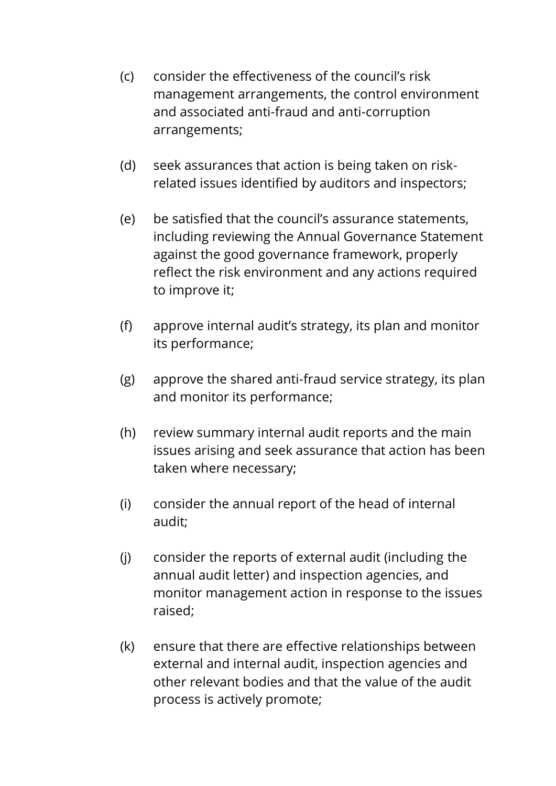- (c) consider the effectiveness of the council's risk management arrangements, the control environment and associated anti-fraud and anti-corruption arrangements;
- (d) seek assurances that action is being taken on riskrelated issues identified by auditors and inspectors;
- (e) be satisfied that the council's assurance statements, including reviewing the Annual Governance Statement against the good governance framework, properly reflect the risk environment and any actions required to improve it;
- (f) approve internal audit's strategy, its plan and monitor its performance;
- (g) approve the shared anti-fraud service strategy, its plan and monitor its performance;
- (h) review summary internal audit reports and the main issues arising and seek assurance that action has been taken where necessary;
- (i) consider the annual report of the head of internal audit;
- (j) consider the reports of external audit (including the annual audit letter) and inspection agencies, and monitor management action in response to the issues raised;
- (k) ensure that there are effective relationships between external and internal audit, inspection agencies and other relevant bodies and that the value of the audit process is actively promote;